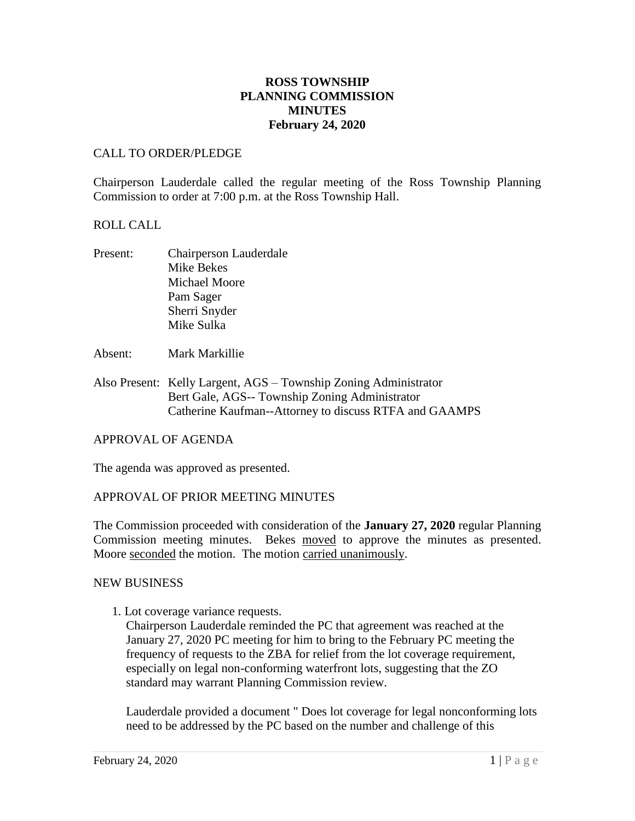# **ROSS TOWNSHIP PLANNING COMMISSION MINUTES February 24, 2020**

# CALL TO ORDER/PLEDGE

Chairperson Lauderdale called the regular meeting of the Ross Township Planning Commission to order at 7:00 p.m. at the Ross Township Hall.

## ROLL CALL

- Present: Chairperson Lauderdale Mike Bekes Michael Moore Pam Sager Sherri Snyder Mike Sulka
- Absent: Mark Markillie
- Also Present: Kelly Largent, AGS Township Zoning Administrator Bert Gale, AGS-- Township Zoning Administrator Catherine Kaufman--Attorney to discuss RTFA and GAAMPS

#### APPROVAL OF AGENDA

The agenda was approved as presented.

#### APPROVAL OF PRIOR MEETING MINUTES

The Commission proceeded with consideration of the **January 27, 2020** regular Planning Commission meeting minutes. Bekes moved to approve the minutes as presented. Moore seconded the motion. The motion carried unanimously.

#### NEW BUSINESS

1. Lot coverage variance requests.

Chairperson Lauderdale reminded the PC that agreement was reached at the January 27, 2020 PC meeting for him to bring to the February PC meeting the frequency of requests to the ZBA for relief from the lot coverage requirement, especially on legal non-conforming waterfront lots, suggesting that the ZO standard may warrant Planning Commission review.

Lauderdale provided a document " Does lot coverage for legal nonconforming lots need to be addressed by the PC based on the number and challenge of this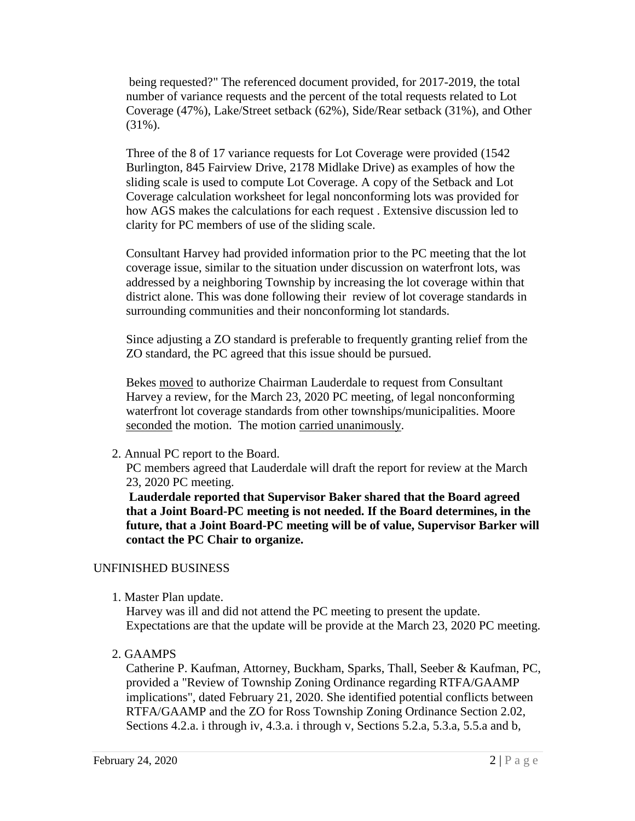being requested?" The referenced document provided, for 2017-2019, the total number of variance requests and the percent of the total requests related to Lot Coverage (47%), Lake/Street setback (62%), Side/Rear setback (31%), and Other (31%).

Three of the 8 of 17 variance requests for Lot Coverage were provided (1542 Burlington, 845 Fairview Drive, 2178 Midlake Drive) as examples of how the sliding scale is used to compute Lot Coverage. A copy of the Setback and Lot Coverage calculation worksheet for legal nonconforming lots was provided for how AGS makes the calculations for each request . Extensive discussion led to clarity for PC members of use of the sliding scale.

Consultant Harvey had provided information prior to the PC meeting that the lot coverage issue, similar to the situation under discussion on waterfront lots, was addressed by a neighboring Township by increasing the lot coverage within that district alone. This was done following their review of lot coverage standards in surrounding communities and their nonconforming lot standards.

Since adjusting a ZO standard is preferable to frequently granting relief from the ZO standard, the PC agreed that this issue should be pursued.

Bekes moved to authorize Chairman Lauderdale to request from Consultant Harvey a review, for the March 23, 2020 PC meeting, of legal nonconforming waterfront lot coverage standards from other townships/municipalities. Moore seconded the motion. The motion carried unanimously.

2. Annual PC report to the Board.

PC members agreed that Lauderdale will draft the report for review at the March 23, 2020 PC meeting.

**Lauderdale reported that Supervisor Baker shared that the Board agreed that a Joint Board-PC meeting is not needed. If the Board determines, in the future, that a Joint Board-PC meeting will be of value, Supervisor Barker will contact the PC Chair to organize.** 

#### UNFINISHED BUSINESS

1. Master Plan update.

Harvey was ill and did not attend the PC meeting to present the update. Expectations are that the update will be provide at the March 23, 2020 PC meeting.

2. GAAMPS

Catherine P. Kaufman, Attorney, Buckham, Sparks, Thall, Seeber & Kaufman, PC, provided a "Review of Township Zoning Ordinance regarding RTFA/GAAMP implications", dated February 21, 2020. She identified potential conflicts between RTFA/GAAMP and the ZO for Ross Township Zoning Ordinance Section 2.02, Sections 4.2.a. i through iv, 4.3.a. i through v, Sections 5.2.a, 5.3.a, 5.5.a and b,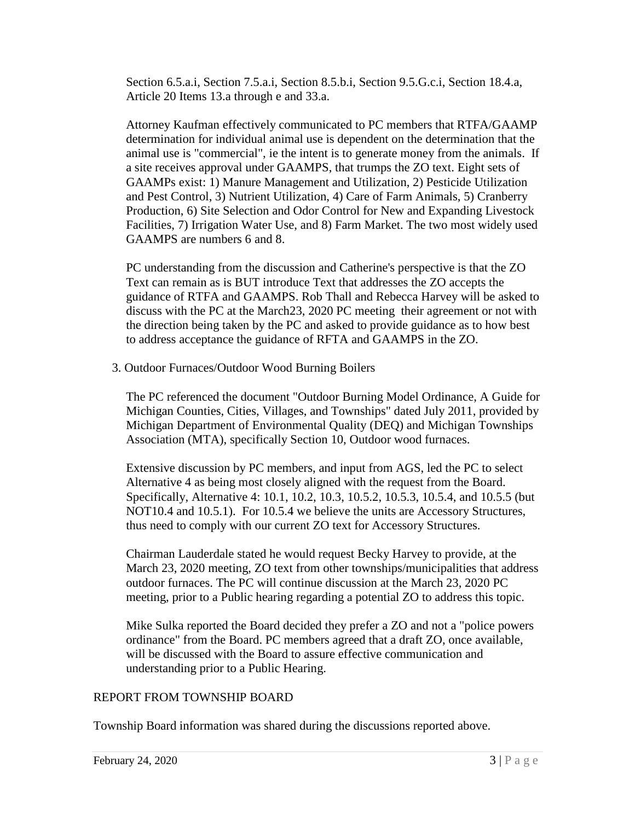Section 6.5.a.i, Section 7.5.a.i, Section 8.5.b.i, Section 9.5.G.c.i, Section 18.4.a, Article 20 Items 13.a through e and 33.a.

Attorney Kaufman effectively communicated to PC members that RTFA/GAAMP determination for individual animal use is dependent on the determination that the animal use is "commercial", ie the intent is to generate money from the animals. If a site receives approval under GAAMPS, that trumps the ZO text. Eight sets of GAAMPs exist: 1) Manure Management and Utilization, 2) Pesticide Utilization and Pest Control, 3) Nutrient Utilization, 4) Care of Farm Animals, 5) Cranberry Production, 6) Site Selection and Odor Control for New and Expanding Livestock Facilities, 7) Irrigation Water Use, and 8) Farm Market. The two most widely used GAAMPS are numbers 6 and 8.

PC understanding from the discussion and Catherine's perspective is that the ZO Text can remain as is BUT introduce Text that addresses the ZO accepts the guidance of RTFA and GAAMPS. Rob Thall and Rebecca Harvey will be asked to discuss with the PC at the March23, 2020 PC meeting their agreement or not with the direction being taken by the PC and asked to provide guidance as to how best to address acceptance the guidance of RFTA and GAAMPS in the ZO.

3. Outdoor Furnaces/Outdoor Wood Burning Boilers

The PC referenced the document "Outdoor Burning Model Ordinance, A Guide for Michigan Counties, Cities, Villages, and Townships" dated July 2011, provided by Michigan Department of Environmental Quality (DEQ) and Michigan Townships Association (MTA), specifically Section 10, Outdoor wood furnaces.

Extensive discussion by PC members, and input from AGS, led the PC to select Alternative 4 as being most closely aligned with the request from the Board. Specifically, Alternative 4: 10.1, 10.2, 10.3, 10.5.2, 10.5.3, 10.5.4, and 10.5.5 (but NOT10.4 and 10.5.1). For 10.5.4 we believe the units are Accessory Structures, thus need to comply with our current ZO text for Accessory Structures.

Chairman Lauderdale stated he would request Becky Harvey to provide, at the March 23, 2020 meeting, ZO text from other townships/municipalities that address outdoor furnaces. The PC will continue discussion at the March 23, 2020 PC meeting, prior to a Public hearing regarding a potential ZO to address this topic.

Mike Sulka reported the Board decided they prefer a ZO and not a "police powers ordinance" from the Board. PC members agreed that a draft ZO, once available, will be discussed with the Board to assure effective communication and understanding prior to a Public Hearing.

# REPORT FROM TOWNSHIP BOARD

Township Board information was shared during the discussions reported above.